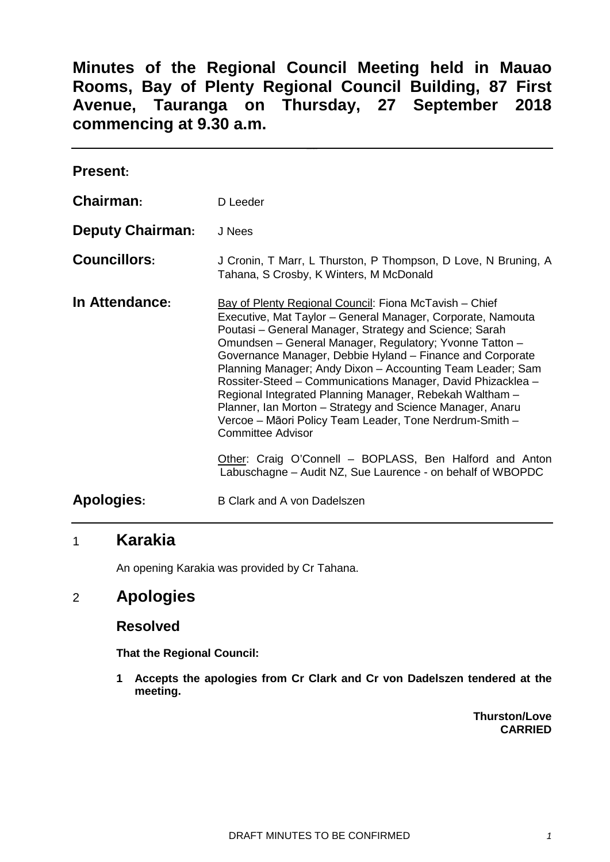**Minutes of the Regional Council Meeting held in Mauao Rooms, Bay of Plenty Regional Council Building, 87 First Avenue, Tauranga on Thursday, 27 September 2018 commencing at 9.30 a.m.**

| <b>Present:</b>         |                                                                                                                                                                                                                                                                                                                                                                                                                                                                                                                                                                                                                                                     |
|-------------------------|-----------------------------------------------------------------------------------------------------------------------------------------------------------------------------------------------------------------------------------------------------------------------------------------------------------------------------------------------------------------------------------------------------------------------------------------------------------------------------------------------------------------------------------------------------------------------------------------------------------------------------------------------------|
| <b>Chairman:</b>        | D Leeder                                                                                                                                                                                                                                                                                                                                                                                                                                                                                                                                                                                                                                            |
| <b>Deputy Chairman:</b> | J Nees                                                                                                                                                                                                                                                                                                                                                                                                                                                                                                                                                                                                                                              |
| <b>Councillors:</b>     | J Cronin, T Marr, L Thurston, P Thompson, D Love, N Bruning, A<br>Tahana, S Crosby, K Winters, M McDonald                                                                                                                                                                                                                                                                                                                                                                                                                                                                                                                                           |
| In Attendance:          | Bay of Plenty Regional Council: Fiona McTavish – Chief<br>Executive, Mat Taylor - General Manager, Corporate, Namouta<br>Poutasi – General Manager, Strategy and Science; Sarah<br>Omundsen - General Manager, Regulatory; Yvonne Tatton -<br>Governance Manager, Debbie Hyland - Finance and Corporate<br>Planning Manager; Andy Dixon - Accounting Team Leader; Sam<br>Rossiter-Steed - Communications Manager, David Phizacklea -<br>Regional Integrated Planning Manager, Rebekah Waltham -<br>Planner, Ian Morton - Strategy and Science Manager, Anaru<br>Vercoe - Māori Policy Team Leader, Tone Nerdrum-Smith -<br><b>Committee Advisor</b> |
|                         | Other: Craig O'Connell - BOPLASS, Ben Halford and Anton<br>Labuschagne – Audit NZ, Sue Laurence - on behalf of WBOPDC                                                                                                                                                                                                                                                                                                                                                                                                                                                                                                                               |
| Apologies:              | B Clark and A von Dadelszen                                                                                                                                                                                                                                                                                                                                                                                                                                                                                                                                                                                                                         |

# 1 **Karakia**

An opening Karakia was provided by Cr Tahana.

## 2 **Apologies**

### **Resolved**

**That the Regional Council:**

**1 Accepts the apologies from Cr Clark and Cr von Dadelszen tendered at the meeting.**

> **Thurston/Love CARRIED**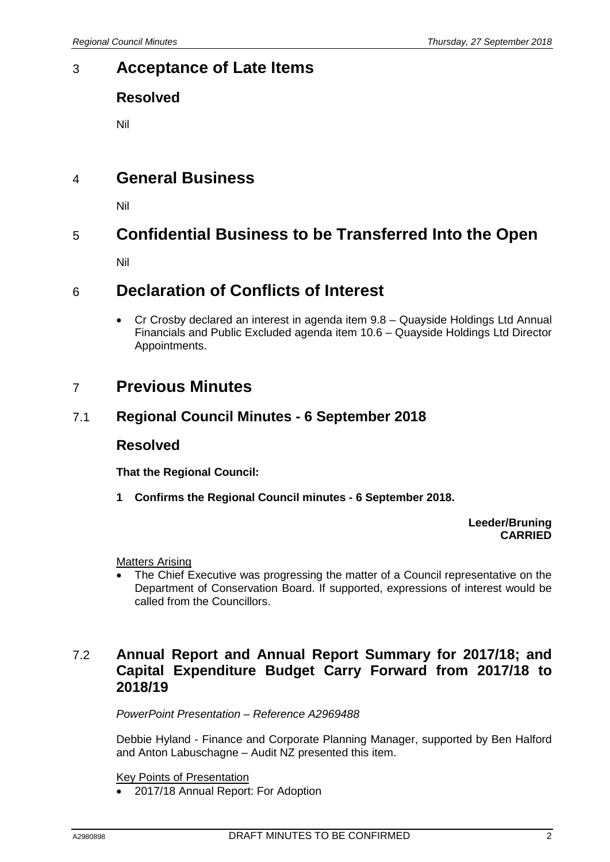# 3 **Acceptance of Late Items**

## **Resolved**

Nil

# 4 **General Business**

Nil

# 5 **Confidential Business to be Transferred Into the Open**

Nil

# 6 **Declaration of Conflicts of Interest**

• Cr Crosby declared an interest in agenda item 9.8 – Quayside Holdings Ltd Annual Financials and Public Excluded agenda item 10.6 – Quayside Holdings Ltd Director Appointments.

# 7 **Previous Minutes**

### 7.1 **Regional Council Minutes - 6 September 2018**

### **Resolved**

**That the Regional Council:**

**1 Confirms the Regional Council minutes - 6 September 2018.**

**Leeder/Bruning CARRIED**

Matters Arising

The Chief Executive was progressing the matter of a Council representative on the Department of Conservation Board. If supported, expressions of interest would be called from the Councillors.

## 7.2 **Annual Report and Annual Report Summary for 2017/18; and Capital Expenditure Budget Carry Forward from 2017/18 to 2018/19**

*PowerPoint Presentation – Reference A2969488*

Debbie Hyland - Finance and Corporate Planning Manager, supported by Ben Halford and Anton Labuschagne – Audit NZ presented this item.

Key Points of Presentation

• 2017/18 Annual Report: For Adoption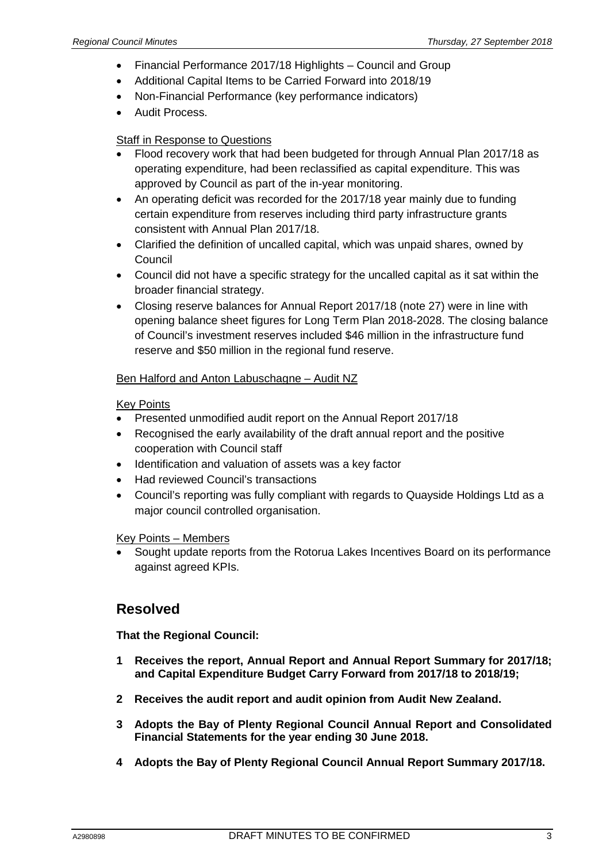- Financial Performance 2017/18 Highlights Council and Group
- Additional Capital Items to be Carried Forward into 2018/19
- Non-Financial Performance (key performance indicators)
- Audit Process.

### Staff in Response to Questions

- Flood recovery work that had been budgeted for through Annual Plan 2017/18 as operating expenditure, had been reclassified as capital expenditure. This was approved by Council as part of the in-year monitoring.
- An operating deficit was recorded for the 2017/18 year mainly due to funding certain expenditure from reserves including third party infrastructure grants consistent with Annual Plan 2017/18.
- Clarified the definition of uncalled capital, which was unpaid shares, owned by **Council**
- Council did not have a specific strategy for the uncalled capital as it sat within the broader financial strategy.
- Closing reserve balances for Annual Report 2017/18 (note 27) were in line with opening balance sheet figures for Long Term Plan 2018-2028. The closing balance of Council's investment reserves included \$46 million in the infrastructure fund reserve and \$50 million in the regional fund reserve.

### Ben Halford and Anton Labuschagne – Audit NZ

#### Key Points

- Presented unmodified audit report on the Annual Report 2017/18
- Recognised the early availability of the draft annual report and the positive cooperation with Council staff
- Identification and valuation of assets was a key factor
- Had reviewed Council's transactions
- Council's reporting was fully compliant with regards to Quayside Holdings Ltd as a major council controlled organisation.

#### Key Points – Members

• Sought update reports from the Rotorua Lakes Incentives Board on its performance against agreed KPIs.

### **Resolved**

**That the Regional Council:**

- **1 Receives the report, Annual Report and Annual Report Summary for 2017/18; and Capital Expenditure Budget Carry Forward from 2017/18 to 2018/19;**
- **2 Receives the audit report and audit opinion from Audit New Zealand.**
- **3 Adopts the Bay of Plenty Regional Council Annual Report and Consolidated Financial Statements for the year ending 30 June 2018.**
- **4 Adopts the Bay of Plenty Regional Council Annual Report Summary 2017/18.**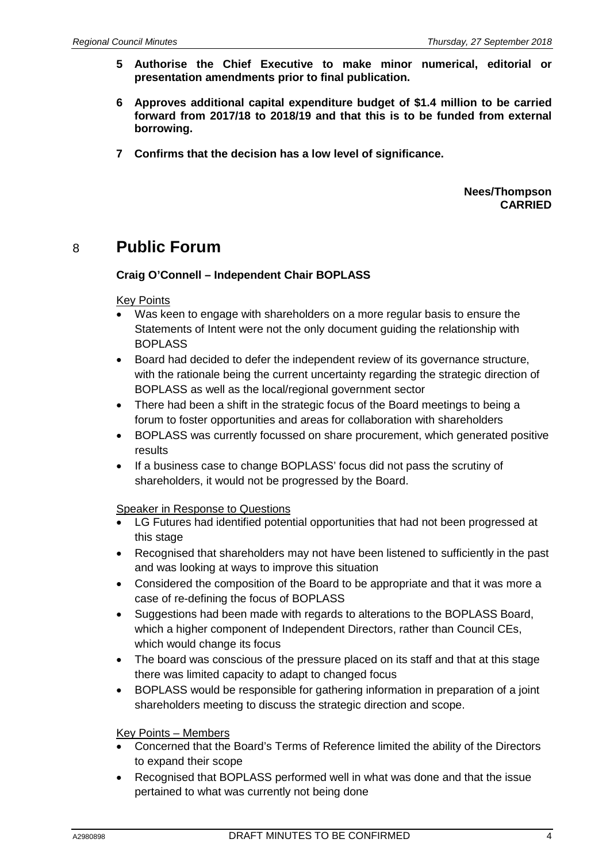- **5 Authorise the Chief Executive to make minor numerical, editorial or presentation amendments prior to final publication.**
- **6 Approves additional capital expenditure budget of \$1.4 million to be carried forward from 2017/18 to 2018/19 and that this is to be funded from external borrowing.**
- **7 Confirms that the decision has a low level of significance.**

**Nees/Thompson CARRIED**

## 8 **Public Forum**

#### **Craig O'Connell – Independent Chair BOPLASS**

#### Key Points

- Was keen to engage with shareholders on a more regular basis to ensure the Statements of Intent were not the only document guiding the relationship with BOPLASS
- Board had decided to defer the independent review of its governance structure, with the rationale being the current uncertainty regarding the strategic direction of BOPLASS as well as the local/regional government sector
- There had been a shift in the strategic focus of the Board meetings to being a forum to foster opportunities and areas for collaboration with shareholders
- BOPLASS was currently focussed on share procurement, which generated positive results
- If a business case to change BOPLASS' focus did not pass the scrutiny of shareholders, it would not be progressed by the Board.

#### Speaker in Response to Questions

- LG Futures had identified potential opportunities that had not been progressed at this stage
- Recognised that shareholders may not have been listened to sufficiently in the past and was looking at ways to improve this situation
- Considered the composition of the Board to be appropriate and that it was more a case of re-defining the focus of BOPLASS
- Suggestions had been made with regards to alterations to the BOPLASS Board, which a higher component of Independent Directors, rather than Council CEs, which would change its focus
- The board was conscious of the pressure placed on its staff and that at this stage there was limited capacity to adapt to changed focus
- BOPLASS would be responsible for gathering information in preparation of a joint shareholders meeting to discuss the strategic direction and scope.

#### Key Points – Members

- Concerned that the Board's Terms of Reference limited the ability of the Directors to expand their scope
- Recognised that BOPLASS performed well in what was done and that the issue pertained to what was currently not being done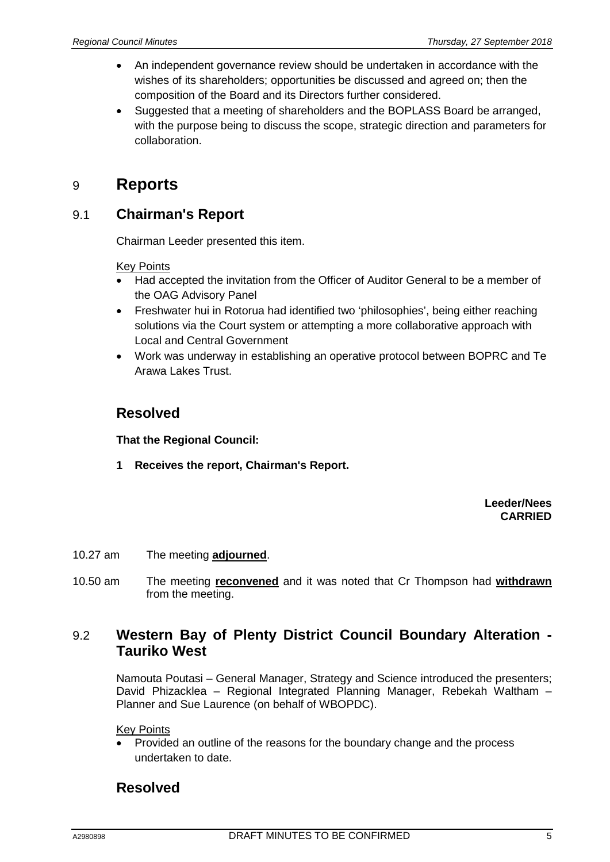- An independent governance review should be undertaken in accordance with the wishes of its shareholders; opportunities be discussed and agreed on; then the composition of the Board and its Directors further considered.
- Suggested that a meeting of shareholders and the BOPLASS Board be arranged, with the purpose being to discuss the scope, strategic direction and parameters for collaboration.

# 9 **Reports**

## 9.1 **Chairman's Report**

Chairman Leeder presented this item.

### Key Points

- Had accepted the invitation from the Officer of Auditor General to be a member of the OAG Advisory Panel
- Freshwater hui in Rotorua had identified two 'philosophies', being either reaching solutions via the Court system or attempting a more collaborative approach with Local and Central Government
- Work was underway in establishing an operative protocol between BOPRC and Te Arawa Lakes Trust.

## **Resolved**

**That the Regional Council:**

**1 Receives the report, Chairman's Report.**

#### **Leeder/Nees CARRIED**

- 10.27 am The meeting **adjourned**.
- 10.50 am The meeting **reconvened** and it was noted that Cr Thompson had **withdrawn** from the meeting.

## 9.2 **Western Bay of Plenty District Council Boundary Alteration - Tauriko West**

Namouta Poutasi – General Manager, Strategy and Science introduced the presenters; David Phizacklea – Regional Integrated Planning Manager, Rebekah Waltham – Planner and Sue Laurence (on behalf of WBOPDC).

Key Points

• Provided an outline of the reasons for the boundary change and the process undertaken to date.

## **Resolved**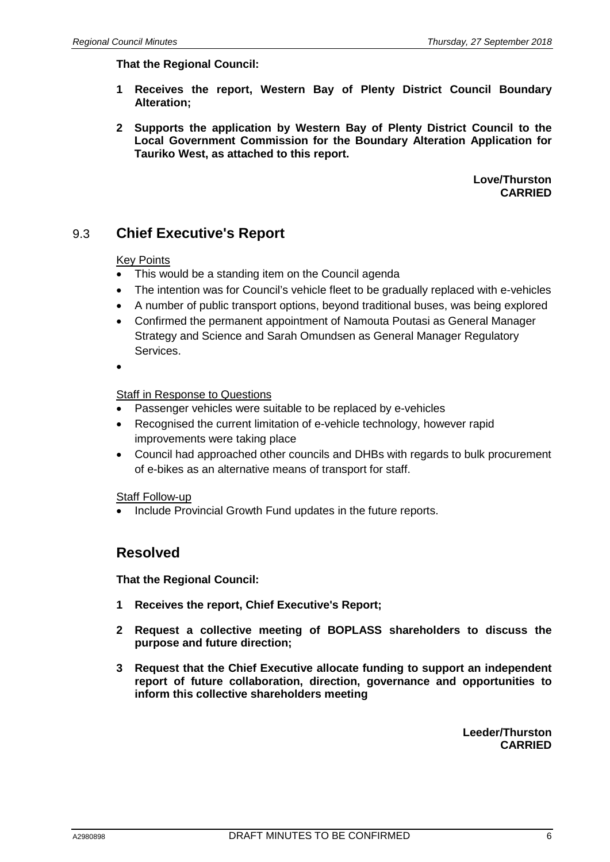#### **That the Regional Council:**

- **1 Receives the report, Western Bay of Plenty District Council Boundary Alteration;**
- **2 Supports the application by Western Bay of Plenty District Council to the Local Government Commission for the Boundary Alteration Application for Tauriko West, as attached to this report.**

**Love/Thurston CARRIED**

## 9.3 **Chief Executive's Report**

#### Key Points

- This would be a standing item on the Council agenda
- The intention was for Council's vehicle fleet to be gradually replaced with e-vehicles
- A number of public transport options, beyond traditional buses, was being explored
- Confirmed the permanent appointment of Namouta Poutasi as General Manager Strategy and Science and Sarah Omundsen as General Manager Regulatory Services.
- •

#### Staff in Response to Questions

- Passenger vehicles were suitable to be replaced by e-vehicles
- Recognised the current limitation of e-vehicle technology, however rapid improvements were taking place
- Council had approached other councils and DHBs with regards to bulk procurement of e-bikes as an alternative means of transport for staff.

#### Staff Follow-up

Include Provincial Growth Fund updates in the future reports.

### **Resolved**

**That the Regional Council:**

- **1 Receives the report, Chief Executive's Report;**
- **2 Request a collective meeting of BOPLASS shareholders to discuss the purpose and future direction;**
- **3 Request that the Chief Executive allocate funding to support an independent report of future collaboration, direction, governance and opportunities to inform this collective shareholders meeting**

**Leeder/Thurston CARRIED**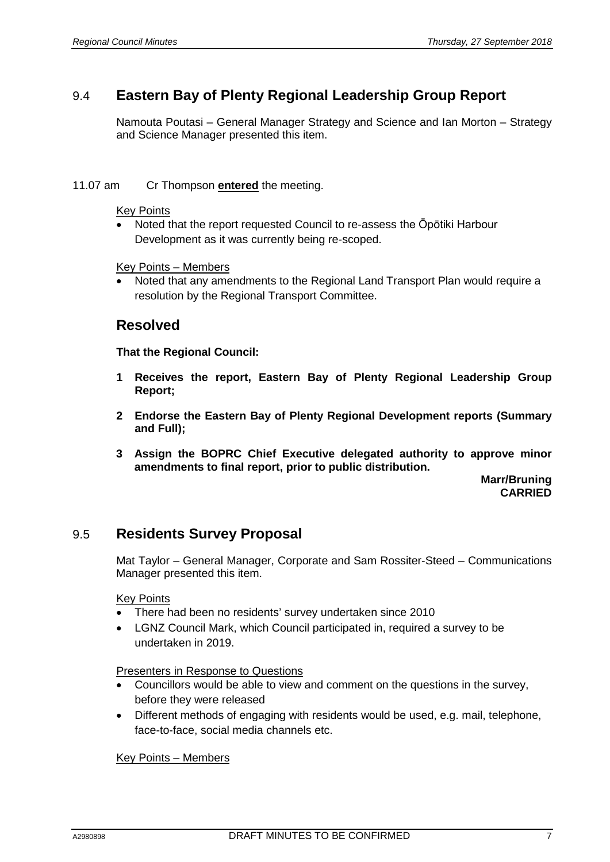## 9.4 **Eastern Bay of Plenty Regional Leadership Group Report**

Namouta Poutasi – General Manager Strategy and Science and Ian Morton – Strategy and Science Manager presented this item.

#### 11.07 am Cr Thompson **entered** the meeting.

#### Key Points

• Noted that the report requested Council to re-assess the Ōpōtiki Harbour Development as it was currently being re-scoped.

#### Key Points – Members

• Noted that any amendments to the Regional Land Transport Plan would require a resolution by the Regional Transport Committee.

### **Resolved**

**That the Regional Council:**

- **1 Receives the report, Eastern Bay of Plenty Regional Leadership Group Report;**
- **2 Endorse the Eastern Bay of Plenty Regional Development reports (Summary and Full);**
- **3 Assign the BOPRC Chief Executive delegated authority to approve minor amendments to final report, prior to public distribution.**

**Marr/Bruning CARRIED**

### 9.5 **Residents Survey Proposal**

Mat Taylor – General Manager, Corporate and Sam Rossiter-Steed – Communications Manager presented this item.

#### Key Points

- There had been no residents' survey undertaken since 2010
- LGNZ Council Mark, which Council participated in, required a survey to be undertaken in 2019.

Presenters in Response to Questions

- Councillors would be able to view and comment on the questions in the survey, before they were released
- Different methods of engaging with residents would be used, e.g. mail, telephone, face-to-face, social media channels etc.

#### Key Points – Members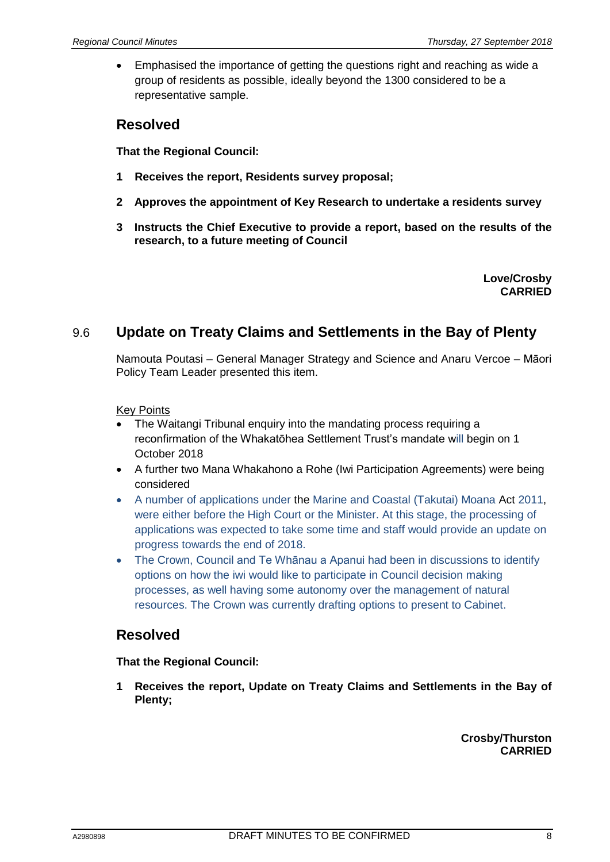• Emphasised the importance of getting the questions right and reaching as wide a group of residents as possible, ideally beyond the 1300 considered to be a representative sample.

## **Resolved**

**That the Regional Council:**

- **1 Receives the report, Residents survey proposal;**
- **2 Approves the appointment of Key Research to undertake a residents survey**
- **3 Instructs the Chief Executive to provide a report, based on the results of the research, to a future meeting of Council**

**Love/Crosby CARRIED**

## 9.6 **Update on Treaty Claims and Settlements in the Bay of Plenty**

Namouta Poutasi – General Manager Strategy and Science and Anaru Vercoe – Māori Policy Team Leader presented this item.

#### Key Points

- The Waitangi Tribunal enquiry into the mandating process requiring a reconfirmation of the Whakatōhea Settlement Trust's mandate will begin on 1 October 2018
- A further two Mana Whakahono a Rohe (Iwi Participation Agreements) were being considered
- A number of applications under the Marine and Coastal (Takutai) Moana Act 2011, were either before the High Court or the Minister. At this stage, the processing of applications was expected to take some time and staff would provide an update on progress towards the end of 2018.
- The Crown, Council and Te Whānau a Apanui had been in discussions to identify options on how the iwi would like to participate in Council decision making processes, as well having some autonomy over the management of natural resources. The Crown was currently drafting options to present to Cabinet.

### **Resolved**

### **That the Regional Council:**

**1 Receives the report, Update on Treaty Claims and Settlements in the Bay of Plenty;**

> **Crosby/Thurston CARRIED**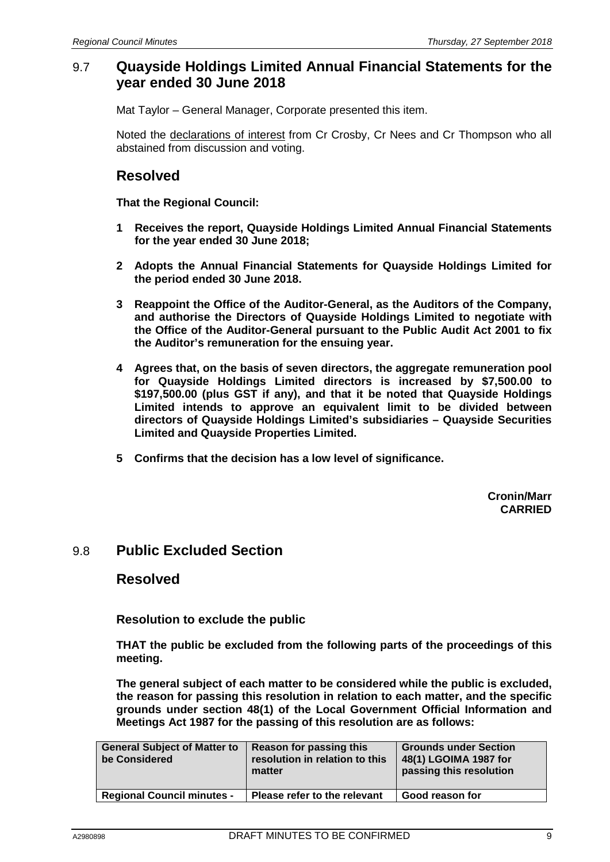### 9.7 **Quayside Holdings Limited Annual Financial Statements for the year ended 30 June 2018**

Mat Taylor – General Manager, Corporate presented this item.

Noted the declarations of interest from Cr Crosby, Cr Nees and Cr Thompson who all abstained from discussion and voting.

### **Resolved**

**That the Regional Council:**

- **1 Receives the report, Quayside Holdings Limited Annual Financial Statements for the year ended 30 June 2018;**
- **2 Adopts the Annual Financial Statements for Quayside Holdings Limited for the period ended 30 June 2018.**
- **3 Reappoint the Office of the Auditor-General, as the Auditors of the Company, and authorise the Directors of Quayside Holdings Limited to negotiate with the Office of the Auditor-General pursuant to the Public Audit Act 2001 to fix the Auditor's remuneration for the ensuing year.**
- **4 Agrees that, on the basis of seven directors, the aggregate remuneration pool for Quayside Holdings Limited directors is increased by \$7,500.00 to \$197,500.00 (plus GST if any), and that it be noted that Quayside Holdings Limited intends to approve an equivalent limit to be divided between directors of Quayside Holdings Limited's subsidiaries – Quayside Securities Limited and Quayside Properties Limited.**
- **5 Confirms that the decision has a low level of significance.**

**Cronin/Marr CARRIED**

### 9.8 **Public Excluded Section**

### **Resolved**

**Resolution to exclude the public**

**THAT the public be excluded from the following parts of the proceedings of this meeting.**

**The general subject of each matter to be considered while the public is excluded, the reason for passing this resolution in relation to each matter, and the specific grounds under section 48(1) of the Local Government Official Information and Meetings Act 1987 for the passing of this resolution are as follows:**

| <b>General Subject of Matter to</b><br>be Considered | Reason for passing this<br>resolution in relation to this<br>matter | <b>Grounds under Section</b><br>48(1) LGOIMA 1987 for<br>passing this resolution |
|------------------------------------------------------|---------------------------------------------------------------------|----------------------------------------------------------------------------------|
| <b>Regional Council minutes -</b>                    | Please refer to the relevant                                        | Good reason for                                                                  |